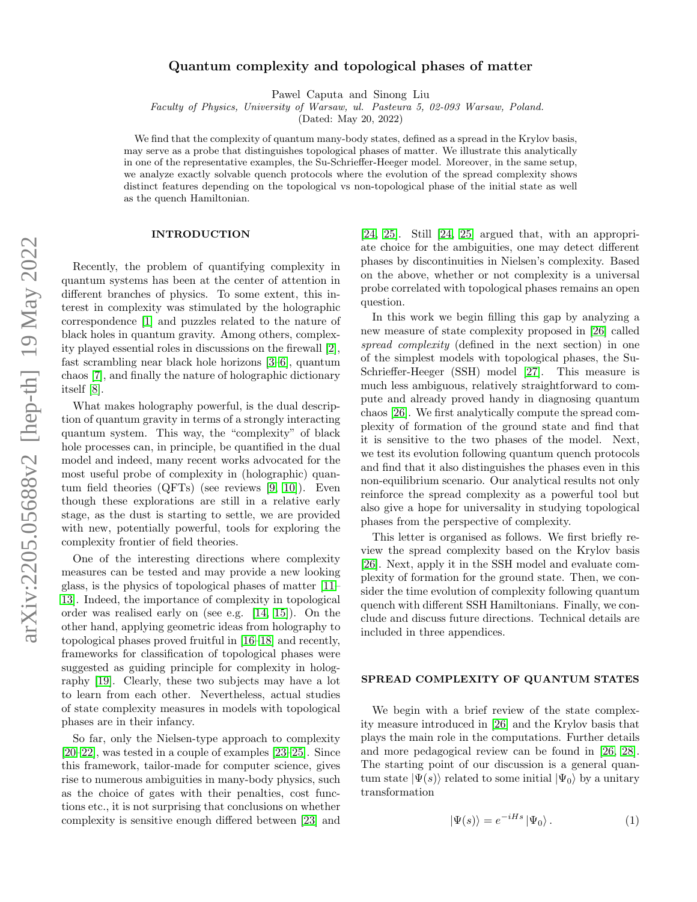# Quantum complexity and topological phases of matter

Pawel Caputa and Sinong Liu

Faculty of Physics, University of Warsaw, ul. Pasteura 5, 02-093 Warsaw, Poland.

(Dated: May 20, 2022)

We find that the complexity of quantum many-body states, defined as a spread in the Krylov basis, may serve as a probe that distinguishes topological phases of matter. We illustrate this analytically in one of the representative examples, the Su-Schrieffer-Heeger model. Moreover, in the same setup, we analyze exactly solvable quench protocols where the evolution of the spread complexity shows distinct features depending on the topological vs non-topological phase of the initial state as well as the quench Hamiltonian.

#### INTRODUCTION

Recently, the problem of quantifying complexity in quantum systems has been at the center of attention in different branches of physics. To some extent, this interest in complexity was stimulated by the holographic correspondence [\[1\]](#page-4-0) and puzzles related to the nature of black holes in quantum gravity. Among others, complexity played essential roles in discussions on the firewall [\[2\]](#page-4-1), fast scrambling near black hole horizons [\[3](#page-4-2)[–6\]](#page-4-3), quantum chaos [\[7\]](#page-4-4), and finally the nature of holographic dictionary itself [\[8\]](#page-4-5).

What makes holography powerful, is the dual description of quantum gravity in terms of a strongly interacting quantum system. This way, the "complexity" of black hole processes can, in principle, be quantified in the dual model and indeed, many recent works advocated for the most useful probe of complexity in (holographic) quantum field theories (QFTs) (see reviews [\[9,](#page-4-6) [10\]](#page-4-7)). Even though these explorations are still in a relative early stage, as the dust is starting to settle, we are provided with new, potentially powerful, tools for exploring the complexity frontier of field theories.

One of the interesting directions where complexity measures can be tested and may provide a new looking glass, is the physics of topological phases of matter [\[11–](#page-4-8) [13\]](#page-4-9). Indeed, the importance of complexity in topological order was realised early on (see e.g. [\[14,](#page-4-10) [15\]](#page-4-11)). On the other hand, applying geometric ideas from holography to topological phases proved fruitful in [\[16–](#page-5-0)[18\]](#page-5-1) and recently, frameworks for classification of topological phases were suggested as guiding principle for complexity in holography [\[19\]](#page-5-2). Clearly, these two subjects may have a lot to learn from each other. Nevertheless, actual studies of state complexity measures in models with topological phases are in their infancy.

So far, only the Nielsen-type approach to complexity [\[20–](#page-5-3)[22\]](#page-5-4), was tested in a couple of examples [\[23–](#page-5-5)[25\]](#page-5-6). Since this framework, tailor-made for computer science, gives rise to numerous ambiguities in many-body physics, such as the choice of gates with their penalties, cost functions etc., it is not surprising that conclusions on whether complexity is sensitive enough differed between [\[23\]](#page-5-5) and

[\[24,](#page-5-7) [25\]](#page-5-6). Still [\[24,](#page-5-7) [25\]](#page-5-6) argued that, with an appropriate choice for the ambiguities, one may detect different phases by discontinuities in Nielsen's complexity. Based on the above, whether or not complexity is a universal probe correlated with topological phases remains an open question.

In this work we begin filling this gap by analyzing a new measure of state complexity proposed in [\[26\]](#page-5-8) called spread complexity (defined in the next section) in one of the simplest models with topological phases, the Su-Schrieffer-Heeger (SSH) model [\[27\]](#page-5-9). This measure is much less ambiguous, relatively straightforward to compute and already proved handy in diagnosing quantum chaos [\[26\]](#page-5-8). We first analytically compute the spread complexity of formation of the ground state and find that it is sensitive to the two phases of the model. Next, we test its evolution following quantum quench protocols and find that it also distinguishes the phases even in this non-equilibrium scenario. Our analytical results not only reinforce the spread complexity as a powerful tool but also give a hope for universality in studying topological phases from the perspective of complexity.

This letter is organised as follows. We first briefly review the spread complexity based on the Krylov basis [\[26\]](#page-5-8). Next, apply it in the SSH model and evaluate complexity of formation for the ground state. Then, we consider the time evolution of complexity following quantum quench with different SSH Hamiltonians. Finally, we conclude and discuss future directions. Technical details are included in three appendices.

## SPREAD COMPLEXITY OF QUANTUM STATES

We begin with a brief review of the state complexity measure introduced in [\[26\]](#page-5-8) and the Krylov basis that plays the main role in the computations. Further details and more pedagogical review can be found in [\[26,](#page-5-8) [28\]](#page-5-10). The starting point of our discussion is a general quantum state  $|\Psi(s)\rangle$  related to some initial  $|\Psi_0\rangle$  by a unitary transformation

<span id="page-0-0"></span>
$$
|\Psi(s)\rangle = e^{-iHs} |\Psi_0\rangle.
$$
 (1)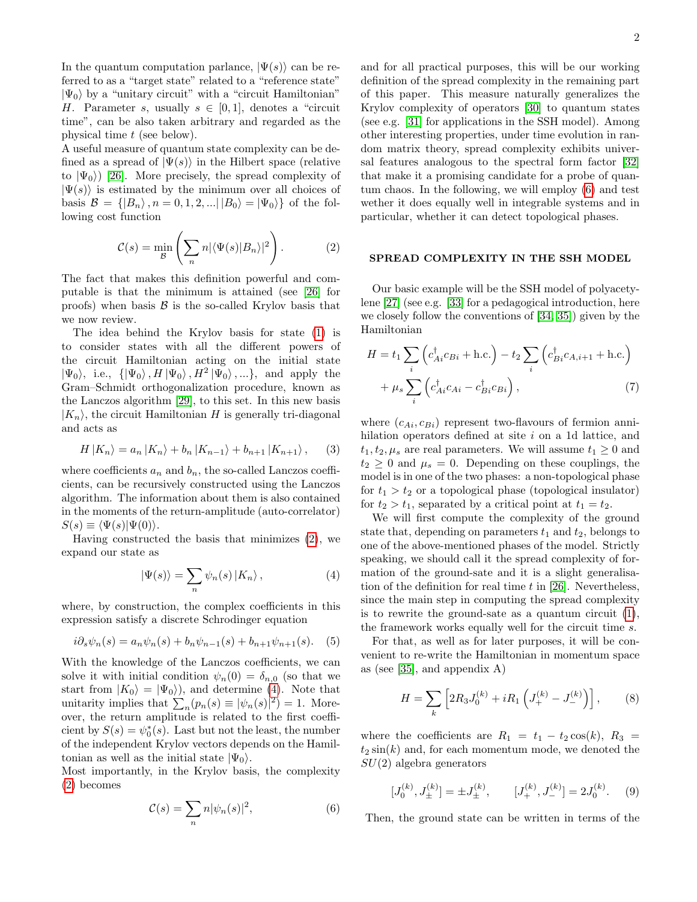In the quantum computation parlance,  $|\Psi(s)\rangle$  can be referred to as a "target state" related to a "reference state"  $|\Psi_0\rangle$  by a "unitary circuit" with a "circuit Hamiltonian" H. Parameter s, usually  $s \in [0,1]$ , denotes a "circuit" time", can be also taken arbitrary and regarded as the physical time t (see below).

A useful measure of quantum state complexity can be defined as a spread of  $|\Psi(s)\rangle$  in the Hilbert space (relative to  $|\Psi_0\rangle$  [\[26\]](#page-5-8). More precisely, the spread complexity of  $|\Psi(s)\rangle$  is estimated by the minimum over all choices of basis  $\mathcal{B} = \{ |B_n\rangle, n = 0, 1, 2, ... | B_0 \rangle = | \Psi_0 \rangle \}$  of the following cost function

<span id="page-1-0"></span>
$$
\mathcal{C}(s) = \min_{\mathcal{B}} \left( \sum_{n} n |\langle \Psi(s) | B_n \rangle|^2 \right). \tag{2}
$$

The fact that makes this definition powerful and computable is that the minimum is attained (see [\[26\]](#page-5-8) for proofs) when basis  $\beta$  is the so-called Krylov basis that we now review.

The idea behind the Krylov basis for state [\(1\)](#page-0-0) is to consider states with all the different powers of the circuit Hamiltonian acting on the initial state  $|\Psi_0\rangle$ , i.e.,  $\{|\Psi_0\rangle, H|\Psi_0\rangle, H^2|\Psi_0\rangle, ...\}$ , and apply the Gram–Schmidt orthogonalization procedure, known as the Lanczos algorithm [\[29\]](#page-5-11), to this set. In this new basis  $|K_n\rangle$ , the circuit Hamiltonian H is generally tri-diagonal and acts as

$$
H | K_n \rangle = a_n | K_n \rangle + b_n | K_{n-1} \rangle + b_{n+1} | K_{n+1} \rangle, \quad (3)
$$

where coefficients  $a_n$  and  $b_n$ , the so-called Lanczos coefficients, can be recursively constructed using the Lanczos algorithm. The information about them is also contained in the moments of the return-amplitude (auto-correlator)  $S(s) \equiv \langle \Psi(s) | \Psi(0) \rangle.$ 

Having constructed the basis that minimizes [\(2\)](#page-1-0), we expand our state as

<span id="page-1-1"></span>
$$
|\Psi(s)\rangle = \sum_{n} \psi_n(s) |K_n\rangle, \qquad (4)
$$

where, by construction, the complex coefficients in this expression satisfy a discrete Schrodinger equation

<span id="page-1-3"></span>
$$
i\partial_s \psi_n(s) = a_n \psi_n(s) + b_n \psi_{n-1}(s) + b_{n+1} \psi_{n+1}(s).
$$
 (5)

With the knowledge of the Lanczos coefficients, we can solve it with initial condition  $\psi_n(0) = \delta_{n,0}$  (so that we start from  $|K_0\rangle = |\Psi_0\rangle$ , and determine [\(4\)](#page-1-1). Note that unitarity implies that  $\sum_n (p_n(s) \equiv |\psi_n(s)|^2) = 1$ . Moreover, the return amplitude is related to the first coefficient by  $S(s) = \psi_0^*(s)$ . Last but not the least, the number of the independent Krylov vectors depends on the Hamiltonian as well as the initial state  $|\Psi_0\rangle$ .

Most importantly, in the Krylov basis, the complexity [\(2\)](#page-1-0) becomes

<span id="page-1-2"></span>
$$
\mathcal{C}(s) = \sum_{n} n |\psi_n(s)|^2, \tag{6}
$$

and for all practical purposes, this will be our working definition of the spread complexity in the remaining part of this paper. This measure naturally generalizes the Krylov complexity of operators [\[30\]](#page-5-12) to quantum states (see e.g. [\[31\]](#page-5-13) for applications in the SSH model). Among other interesting properties, under time evolution in random matrix theory, spread complexity exhibits universal features analogous to the spectral form factor [\[32\]](#page-5-14) that make it a promising candidate for a probe of quantum chaos. In the following, we will employ [\(6\)](#page-1-2) and test wether it does equally well in integrable systems and in particular, whether it can detect topological phases.

#### SPREAD COMPLEXITY IN THE SSH MODEL

Our basic example will be the SSH model of polyacetylene [\[27\]](#page-5-9) (see e.g. [\[33\]](#page-5-15) for a pedagogical introduction, here we closely follow the conventions of [\[34,](#page-5-16) [35\]](#page-5-17)) given by the Hamiltonian

<span id="page-1-4"></span>
$$
H = t_1 \sum_{i} \left( c_{Ai}^{\dagger} c_{Bi} + \text{h.c.} \right) - t_2 \sum_{i} \left( c_{Bi}^{\dagger} c_{A,i+1} + \text{h.c.} \right)
$$

$$
+ \mu_s \sum_{i} \left( c_{Ai}^{\dagger} c_{Ai} - c_{Bi}^{\dagger} c_{Bi} \right), \tag{7}
$$

where  $(c_{Ai}, c_{Bi})$  represent two-flavours of fermion annihilation operators defined at site i on a 1d lattice, and  $t_1, t_2, \mu_s$  are real parameters. We will assume  $t_1 \geq 0$  and  $t_2 \geq 0$  and  $\mu_s = 0$ . Depending on these couplings, the model is in one of the two phases: a non-topological phase for  $t_1 > t_2$  or a topological phase (topological insulator) for  $t_2 > t_1$ , separated by a critical point at  $t_1 = t_2$ .

We will first compute the complexity of the ground state that, depending on parameters  $t_1$  and  $t_2$ , belongs to one of the above-mentioned phases of the model. Strictly speaking, we should call it the spread complexity of formation of the ground-sate and it is a slight generalisation of the definition for real time  $t$  in [\[26\]](#page-5-8). Nevertheless, since the main step in computing the spread complexity is to rewrite the ground-sate as a quantum circuit [\(1\)](#page-0-0), the framework works equally well for the circuit time s.

For that, as well as for later purposes, it will be convenient to re-write the Hamiltonian in momentum space as (see [\[35\]](#page-5-17), and appendix A)

$$
H = \sum_{k} \left[ 2R_3 J_0^{(k)} + iR_1 \left( J_+^{(k)} - J_-^{(k)} \right) \right],\tag{8}
$$

where the coefficients are  $R_1 = t_1 - t_2 \cos(k)$ ,  $R_3 =$  $t_2 \sin(k)$  and, for each momentum mode, we denoted the  $SU(2)$  algebra generators

$$
[J_0^{(k)}, J_\pm^{(k)}] = \pm J_\pm^{(k)}, \qquad [J_+^{(k)}, J_-^{(k)}] = 2J_0^{(k)}.\tag{9}
$$

Then, the ground state can be written in terms of the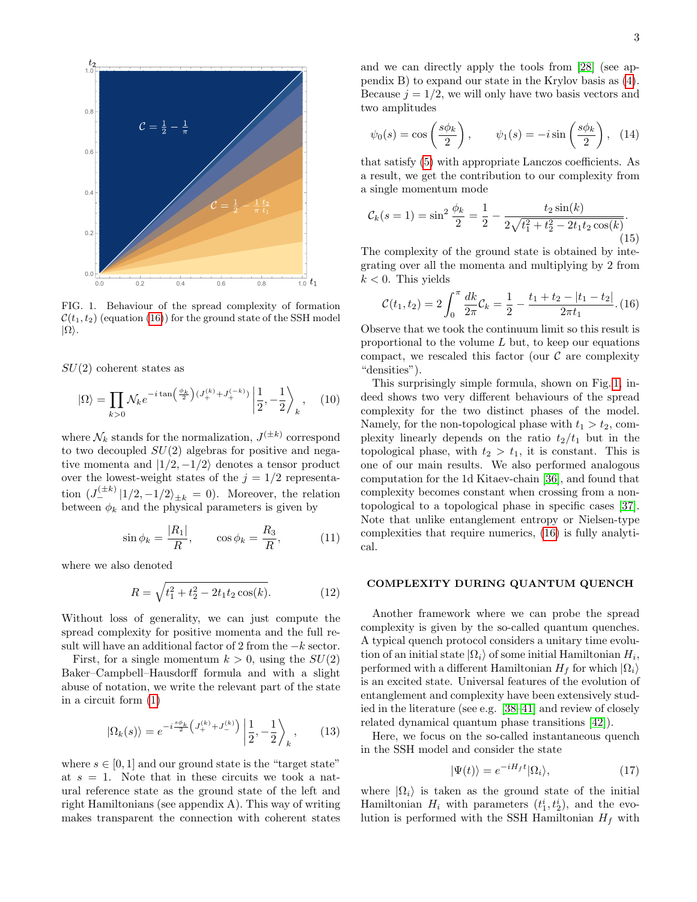

<span id="page-2-1"></span>FIG. 1. Behaviour of the spread complexity of formation  $\mathcal{C}(t_1, t_2)$  (equation [\(16\)](#page-2-0)) for the ground state of the SSH model  $|\Omega\rangle$ .

 $SU(2)$  coherent states as

$$
|\Omega\rangle = \prod_{k>0} \mathcal{N}_k e^{-i \tan\left(\frac{\phi_k}{2}\right)(J_+^{(k)} + J_+^{(-k)})} \left| \frac{1}{2}, -\frac{1}{2} \right\rangle_k, \quad (10)
$$

where  $\mathcal{N}_k$  stands for the normalization,  $J^{(\pm k)}$  correspond to two decoupled  $SU(2)$  algebras for positive and negative momenta and  $|1/2, -1/2\rangle$  denotes a tensor product over the lowest-weight states of the  $j = 1/2$  representation  $(J_{-}^{(\pm k)} |1/2, -1/2\rangle_{\pm k} = 0)$ . Moreover, the relation between  $\phi_k$  and the physical parameters is given by

<span id="page-2-4"></span>
$$
\sin \phi_k = \frac{|R_1|}{R}, \qquad \cos \phi_k = \frac{R_3}{R}, \tag{11}
$$

where we also denoted

<span id="page-2-3"></span>
$$
R = \sqrt{t_1^2 + t_2^2 - 2t_1t_2\cos(k)}.
$$
 (12)

Without loss of generality, we can just compute the spread complexity for positive momenta and the full result will have an additional factor of 2 from the  $-k$  sector.

First, for a single momentum  $k > 0$ , using the  $SU(2)$ Baker–Campbell–Hausdorff formula and with a slight abuse of notation, we write the relevant part of the state in a circuit form [\(1\)](#page-0-0)

$$
|\Omega_k(s)\rangle = e^{-i\frac{s\phi_k}{2}\left(J_+^{(k)} + J_-^{(k)}\right)} \left|\frac{1}{2}, -\frac{1}{2}\right\rangle_k, \qquad (13)
$$

where  $s \in [0, 1]$  and our ground state is the "target state" at  $s = 1$ . Note that in these circuits we took a natural reference state as the ground state of the left and right Hamiltonians (see appendix A). This way of writing makes transparent the connection with coherent states

$$
\psi_0(s) = \cos\left(\frac{s\phi_k}{2}\right), \qquad \psi_1(s) = -i\sin\left(\frac{s\phi_k}{2}\right), \quad (14)
$$

that satisfy [\(5\)](#page-1-3) with appropriate Lanczos coefficients. As a result, we get the contribution to our complexity from a single momentum mode

$$
\mathcal{C}_k(s=1) = \sin^2 \frac{\phi_k}{2} = \frac{1}{2} - \frac{t_2 \sin(k)}{2\sqrt{t_1^2 + t_2^2 - 2t_1 t_2 \cos(k)}}.
$$
\n(15)

The complexity of the ground state is obtained by integrating over all the momenta and multiplying by 2 from  $k < 0$ . This yields

<span id="page-2-0"></span>
$$
\mathcal{C}(t_1, t_2) = 2 \int_0^{\pi} \frac{dk}{2\pi} \mathcal{C}_k = \frac{1}{2} - \frac{t_1 + t_2 - |t_1 - t_2|}{2\pi t_1}.
$$
 (16)

Observe that we took the continuum limit so this result is proportional to the volume  $L$  but, to keep our equations compact, we rescaled this factor (our  $\mathcal C$  are complexity "densities").

This surprisingly simple formula, shown on Fig. [1,](#page-2-1) indeed shows two very different behaviours of the spread complexity for the two distinct phases of the model. Namely, for the non-topological phase with  $t_1 > t_2$ , complexity linearly depends on the ratio  $t_2/t_1$  but in the topological phase, with  $t_2 > t_1$ , it is constant. This is one of our main results. We also performed analogous computation for the 1d Kitaev-chain [\[36\]](#page-5-18), and found that complexity becomes constant when crossing from a nontopological to a topological phase in specific cases [\[37\]](#page-5-19). Note that unlike entanglement entropy or Nielsen-type complexities that require numerics, [\(16\)](#page-2-0) is fully analytical.

#### COMPLEXITY DURING QUANTUM QUENCH

Another framework where we can probe the spread complexity is given by the so-called quantum quenches. A typical quench protocol considers a unitary time evolution of an initial state  $|\Omega_i\rangle$  of some initial Hamiltonian  $H_i$ , performed with a different Hamiltonian  $H_f$  for which  $|\Omega_i\rangle$ is an excited state. Universal features of the evolution of entanglement and complexity have been extensively studied in the literature (see e.g. [\[38–](#page-5-20)[41\]](#page-5-21) and review of closely related dynamical quantum phase transitions [\[42\]](#page-5-22)).

Here, we focus on the so-called instantaneous quench in the SSH model and consider the state

<span id="page-2-2"></span>
$$
|\Psi(t)\rangle = e^{-iH_f t}|\Omega_i\rangle,\tag{17}
$$

where  $|\Omega_i\rangle$  is taken as the ground state of the initial Hamiltonian  $H_i$  with parameters  $(t_1^i, t_2^i)$ , and the evolution is performed with the SSH Hamiltonian  $H_f$  with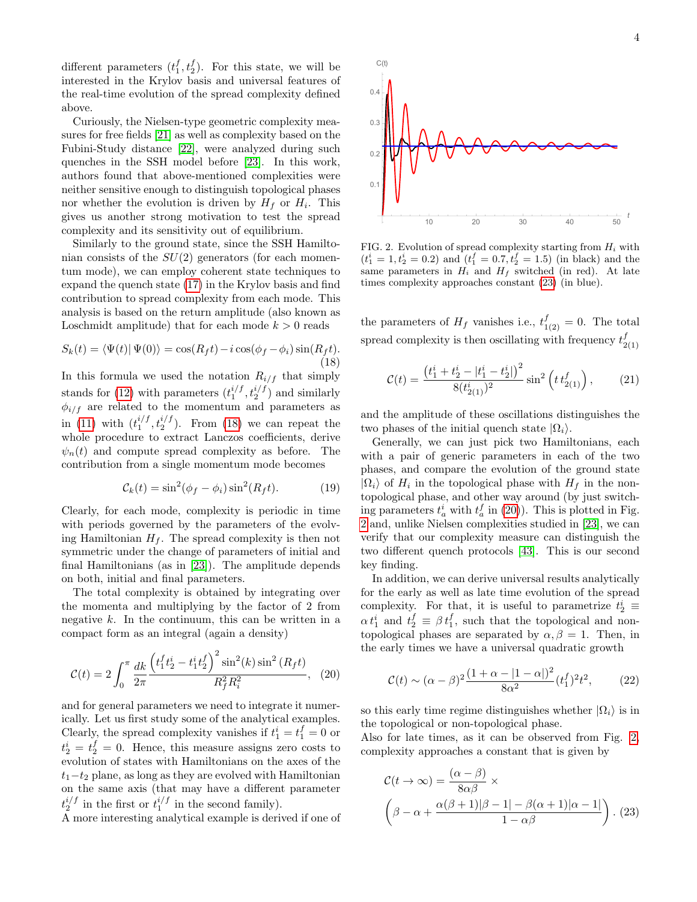different parameters  $(t_1^f, t_2^f)$ . For this state, we will be interested in the Krylov basis and universal features of the real-time evolution of the spread complexity defined above.

Curiously, the Nielsen-type geometric complexity measures for free fields [\[21\]](#page-5-23) as well as complexity based on the Fubini-Study distance [\[22\]](#page-5-4), were analyzed during such quenches in the SSH model before [\[23\]](#page-5-5). In this work, authors found that above-mentioned complexities were neither sensitive enough to distinguish topological phases nor whether the evolution is driven by  $H_f$  or  $H_i$ . This gives us another strong motivation to test the spread complexity and its sensitivity out of equilibrium.

Similarly to the ground state, since the SSH Hamiltonian consists of the  $SU(2)$  generators (for each momentum mode), we can employ coherent state techniques to expand the quench state [\(17\)](#page-2-2) in the Krylov basis and find contribution to spread complexity from each mode. This analysis is based on the return amplitude (also known as Loschmidt amplitude) that for each mode  $k > 0$  reads

<span id="page-3-0"></span>
$$
S_k(t) = \langle \Psi(t) | \Psi(0) \rangle = \cos(R_f t) - i \cos(\phi_f - \phi_i) \sin(R_f t). \tag{18}
$$

In this formula we used the notation  $R_{i/f}$  that simply stands for [\(12\)](#page-2-3) with parameters  $(t_1^{i/f}, t_2^{i/f})$  and similarly  $\phi_{i/f}$  are related to the momentum and parameters as in [\(11\)](#page-2-4) with  $(t_1^{i/f}, t_2^{i/f})$ . From [\(18\)](#page-3-0) we can repeat the whole procedure to extract Lanczos coefficients, derive  $\psi_n(t)$  and compute spread complexity as before. The contribution from a single momentum mode becomes

<span id="page-3-4"></span>
$$
\mathcal{C}_k(t) = \sin^2(\phi_f - \phi_i)\sin^2(R_f t). \tag{19}
$$

Clearly, for each mode, complexity is periodic in time with periods governed by the parameters of the evolving Hamiltonian  $H_f$ . The spread complexity is then not symmetric under the change of parameters of initial and final Hamiltonians (as in [\[23\]](#page-5-5)). The amplitude depends on both, initial and final parameters.

The total complexity is obtained by integrating over the momenta and multiplying by the factor of 2 from negative  $k$ . In the continuum, this can be written in a compact form as an integral (again a density)

<span id="page-3-2"></span>
$$
\mathcal{C}(t) = 2 \int_0^{\pi} \frac{dk}{2\pi} \frac{\left(t_1^f t_2^i - t_1^i t_2^f\right)^2 \sin^2(k) \sin^2(R_f t)}{R_f^2 R_i^2}, \quad (20)
$$

and for general parameters we need to integrate it numerically. Let us first study some of the analytical examples. Clearly, the spread complexity vanishes if  $t_1^i = t_1^f = 0$  or  $t_2^i = t_2^f = 0$ . Hence, this measure assigns zero costs to evolution of states with Hamiltonians on the axes of the  $t_1-t_2$  plane, as long as they are evolved with Hamiltonian on the same axis (that may have a different parameter  $t_2^{i/f}$  in the first or  $t_1^{i/f}$  in the second family).

A more interesting analytical example is derived if one of



<span id="page-3-3"></span>FIG. 2. Evolution of spread complexity starting from  $H_i$  with  $(t_1^i = 1, t_2^i = 0.2)$  and  $(t_1^f = 0.7, t_2^f = 1.5)$  (in black) and the same parameters in  $H_i$  and  $H_f$  switched (in red). At late times complexity approaches constant [\(23\)](#page-3-1) (in blue).

the parameters of  $H_f$  vanishes i.e.,  $t_{1(2)}^f = 0$ . The total spread complexity is then oscillating with frequency  $t_2^f$ 2(1)

$$
\mathcal{C}(t) = \frac{\left(t_1^i + t_2^i - |t_1^i - t_2^i|\right)^2}{8(t_{2(1)}^i)^2} \sin^2\left(t \, t_{2(1)}^f\right),\tag{21}
$$

and the amplitude of these oscillations distinguishes the two phases of the initial quench state  $|\Omega_i\rangle$ .

Generally, we can just pick two Hamiltonians, each with a pair of generic parameters in each of the two phases, and compare the evolution of the ground state  $|\Omega_i\rangle$  of  $H_i$  in the topological phase with  $H_f$  in the nontopological phase, and other way around (by just switching parameters  $t_a^i$  with  $t_a^f$  in [\(20\)](#page-3-2)). This is plotted in Fig. [2](#page-3-3) and, unlike Nielsen complexities studied in [\[23\]](#page-5-5), we can verify that our complexity measure can distinguish the two different quench protocols [\[43\]](#page-5-24). This is our second key finding.

In addition, we can derive universal results analytically for the early as well as late time evolution of the spread complexity. For that, it is useful to parametrize  $t_2^i \equiv$  $\alpha t_1^i$  and  $t_2^f \equiv \beta t_1^f$ , such that the topological and nontopological phases are separated by  $\alpha, \beta = 1$ . Then, in the early times we have a universal quadratic growth

$$
C(t) \sim (\alpha - \beta)^2 \frac{(1 + \alpha - |1 - \alpha|)^2}{8\alpha^2} (t_1^f)^2 t^2, \qquad (22)
$$

so this early time regime distinguishes whether  $|\Omega_i\rangle$  is in the topological or non-topological phase.

Also for late times, as it can be observed from Fig. [2,](#page-3-3) complexity approaches a constant that is given by

<span id="page-3-1"></span>
$$
\mathcal{C}(t \to \infty) = \frac{(\alpha - \beta)}{8\alpha\beta} \times \left(\beta - \alpha + \frac{\alpha(\beta + 1)|\beta - 1| - \beta(\alpha + 1)|\alpha - 1|}{1 - \alpha\beta}\right). (23)
$$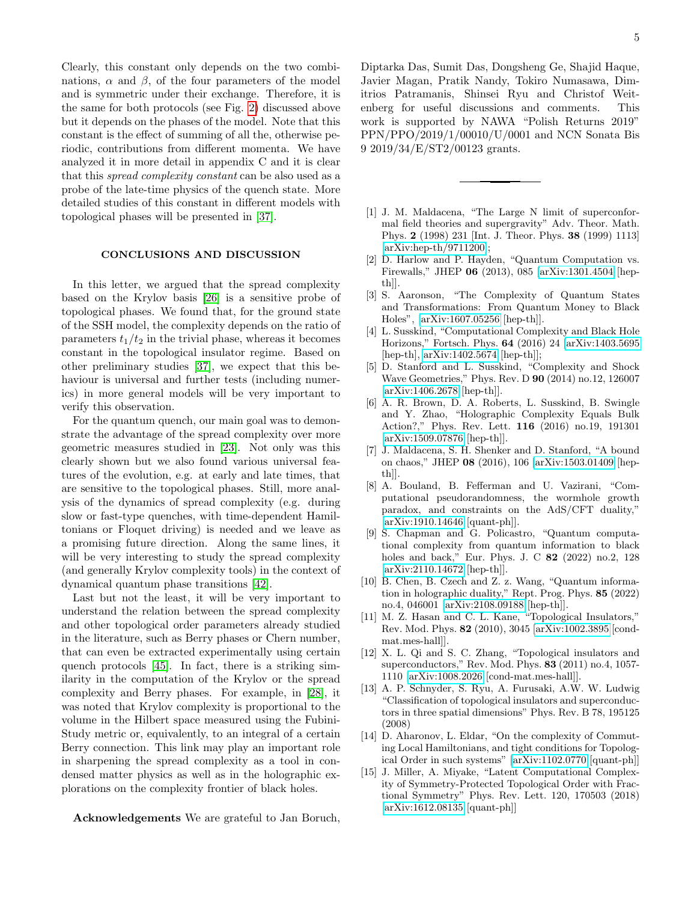Clearly, this constant only depends on the two combinations,  $\alpha$  and  $\beta$ , of the four parameters of the model and is symmetric under their exchange. Therefore, it is the same for both protocols (see Fig. [2\)](#page-3-3) discussed above but it depends on the phases of the model. Note that this constant is the effect of summing of all the, otherwise periodic, contributions from different momenta. We have analyzed it in more detail in appendix C and it is clear that this spread complexity constant can be also used as a probe of the late-time physics of the quench state. More detailed studies of this constant in different models with topological phases will be presented in [\[37\]](#page-5-19).

#### CONCLUSIONS AND DISCUSSION

In this letter, we argued that the spread complexity based on the Krylov basis [\[26\]](#page-5-8) is a sensitive probe of topological phases. We found that, for the ground state of the SSH model, the complexity depends on the ratio of parameters  $t_1/t_2$  in the trivial phase, whereas it becomes constant in the topological insulator regime. Based on other preliminary studies [\[37\]](#page-5-19), we expect that this behaviour is universal and further tests (including numerics) in more general models will be very important to verify this observation.

For the quantum quench, our main goal was to demonstrate the advantage of the spread complexity over more geometric measures studied in [\[23\]](#page-5-5). Not only was this clearly shown but we also found various universal features of the evolution, e.g. at early and late times, that are sensitive to the topological phases. Still, more analysis of the dynamics of spread complexity (e.g. during slow or fast-type quenches, with time-dependent Hamiltonians or Floquet driving) is needed and we leave as a promising future direction. Along the same lines, it will be very interesting to study the spread complexity (and generally Krylov complexity tools) in the context of dynamical quantum phase transitions [\[42\]](#page-5-22).

Last but not the least, it will be very important to understand the relation between the spread complexity and other topological order parameters already studied in the literature, such as Berry phases or Chern number, that can even be extracted experimentally using certain quench protocols [\[45\]](#page-5-25). In fact, there is a striking similarity in the computation of the Krylov or the spread complexity and Berry phases. For example, in [\[28\]](#page-5-10), it was noted that Krylov complexity is proportional to the volume in the Hilbert space measured using the Fubini-Study metric or, equivalently, to an integral of a certain Berry connection. This link may play an important role in sharpening the spread complexity as a tool in condensed matter physics as well as in the holographic explorations on the complexity frontier of black holes.

Acknowledgements We are grateful to Jan Boruch,

Diptarka Das, Sumit Das, Dongsheng Ge, Shajid Haque, Javier Magan, Pratik Nandy, Tokiro Numasawa, Dimitrios Patramanis, Shinsei Ryu and Christof Weitenberg for useful discussions and comments. This work is supported by NAWA "Polish Returns 2019" PPN/PPO/2019/1/00010/U/0001 and NCN Sonata Bis 9 2019/34/E/ST2/00123 grants.

- <span id="page-4-0"></span>[1] J. M. Maldacena, "The Large N limit of superconformal field theories and supergravity" Adv. Theor. Math. Phys. 2 (1998) 231 [Int. J. Theor. Phys. 38 (1999) 1113] [\[arXiv:hep-th/9711200\]](http://arxiv.org/abs/hep-th/9711200);
- <span id="page-4-1"></span>[2] D. Harlow and P. Hayden, "Quantum Computation vs. Firewalls," JHEP 06 (2013), 085 [\[arXiv:1301.4504](http://arxiv.org/abs/1301.4504) [hepth]].
- <span id="page-4-2"></span>[3] S. Aaronson, "The Complexity of Quantum States and Transformations: From Quantum Money to Black Holes", [\[arXiv:1607.05256](http://arxiv.org/abs/1607.05256) [hep-th]].
- [4] L. Susskind, "Computational Complexity and Black Hole Horizons," Fortsch. Phys. 64 (2016) 24 [\[arXiv:1403.5695](http://arxiv.org/abs/1403.5695) [hep-th],  $arXiv:1402.5674$  [hep-th]];
- [5] D. Stanford and L. Susskind, "Complexity and Shock Wave Geometries," Phys. Rev. D 90 (2014) no.12, 126007 [\[arXiv:1406.2678](http://arxiv.org/abs/1406.2678) [hep-th]].
- <span id="page-4-3"></span>[6] A. R. Brown, D. A. Roberts, L. Susskind, B. Swingle and Y. Zhao, "Holographic Complexity Equals Bulk Action?," Phys. Rev. Lett. 116 (2016) no.19, 191301 [\[arXiv:1509.07876](http://arxiv.org/abs/1509.07876) [hep-th]].
- <span id="page-4-4"></span>[7] J. Maldacena, S. H. Shenker and D. Stanford, "A bound on chaos," JHEP 08 (2016), 106 [\[arXiv:1503.01409](http://arxiv.org/abs/1503.01409) [hepth]].
- <span id="page-4-5"></span>[8] A. Bouland, B. Fefferman and U. Vazirani, "Computational pseudorandomness, the wormhole growth paradox, and constraints on the AdS/CFT duality," [\[arXiv:1910.14646](http://arxiv.org/abs/1910.14646) [quant-ph]].
- <span id="page-4-6"></span>[9] S. Chapman and G. Policastro, "Quantum computational complexity from quantum information to black holes and back," Eur. Phys. J. C 82 (2022) no.2, 128 [\[arXiv:2110.14672](http://arxiv.org/abs/2110.14672) [hep-th]].
- <span id="page-4-7"></span>[10] B. Chen, B. Czech and Z. z. Wang, "Quantum information in holographic duality," Rept. Prog. Phys. 85 (2022) no.4, 046001 [\[arXiv:2108.09188](http://arxiv.org/abs/2108.09188) [hep-th]].
- <span id="page-4-8"></span>[11] M. Z. Hasan and C. L. Kane, "Topological Insulators," Rev. Mod. Phys. 82 (2010), 3045 [\[arXiv:1002.3895](http://arxiv.org/abs/1002.3895) [condmat.mes-hall]].
- [12] X. L. Qi and S. C. Zhang, "Topological insulators and superconductors," Rev. Mod. Phys. 83 (2011) no.4, 1057- 1110 [\[arXiv:1008.2026](http://arxiv.org/abs/1008.2026) [cond-mat.mes-hall]].
- <span id="page-4-9"></span>[13] A. P. Schnyder, S. Ryu, A. Furusaki, A.W. W. Ludwig "Classification of topological insulators and superconductors in three spatial dimensions" Phys. Rev. B 78, 195125 (2008)
- <span id="page-4-10"></span>[14] D. Aharonov, L. Eldar, "On the complexity of Commuting Local Hamiltonians, and tight conditions for Topological Order in such systems" [\[arXiv:1102.0770](http://arxiv.org/abs/1102.0770) [quant-ph]]
- <span id="page-4-11"></span>[15] J. Miller, A. Miyake, "Latent Computational Complexity of Symmetry-Protected Topological Order with Fractional Symmetry" Phys. Rev. Lett. 120, 170503 (2018) [\[arXiv:1612.08135](http://arxiv.org/abs/1612.08135) [quant-ph]]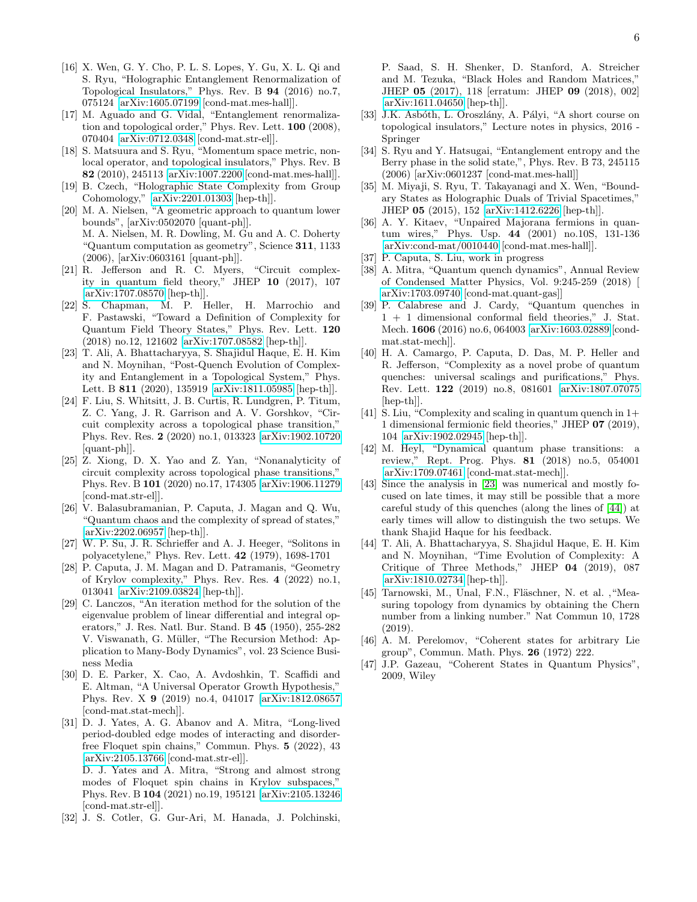- <span id="page-5-0"></span>[16] X. Wen, G. Y. Cho, P. L. S. Lopes, Y. Gu, X. L. Qi and S. Ryu, "Holographic Entanglement Renormalization of Topological Insulators," Phys. Rev. B 94 (2016) no.7, 075124 [\[arXiv:1605.07199](http://arxiv.org/abs/1605.07199) [cond-mat.mes-hall]].
- [17] M. Aguado and G. Vidal, "Entanglement renormalization and topological order," Phys. Rev. Lett. 100 (2008), 070404 [\[arXiv:0712.0348](http://arxiv.org/abs/0712.0348) [cond-mat.str-el]].
- <span id="page-5-1"></span>[18] S. Matsuura and S. Ryu, "Momentum space metric, nonlocal operator, and topological insulators," Phys. Rev. B 82 (2010), 245113 [\[arXiv:1007.2200](http://arxiv.org/abs/1007.2200) [cond-mat.mes-hall]].
- <span id="page-5-2"></span>[19] B. Czech, "Holographic State Complexity from Group Cohomology," [\[arXiv:2201.01303](http://arxiv.org/abs/2201.01303) [hep-th]].
- <span id="page-5-3"></span>[20] M. A. Nielsen, "A geometric approach to quantum lower bounds", [arXiv:0502070 [quant-ph]]. M. A. Nielsen, M. R. Dowling, M. Gu and A. C. Doherty "Quantum computation as geometry", Science 311, 1133 (2006), [arXiv:0603161 [quant-ph]].
- <span id="page-5-23"></span>[21] R. Jefferson and R. C. Myers, "Circuit complexity in quantum field theory," JHEP 10 (2017), 107 [\[arXiv:1707.08570](http://arxiv.org/abs/1707.08570) [hep-th]].
- <span id="page-5-4"></span>[22] S. Chapman, M. P. Heller, H. Marrochio and F. Pastawski, "Toward a Definition of Complexity for Quantum Field Theory States," Phys. Rev. Lett. 120 (2018) no.12, 121602 [\[arXiv:1707.08582](http://arxiv.org/abs/1707.08582) [hep-th]].
- <span id="page-5-5"></span>[23] T. Ali, A. Bhattacharyya, S. Shajidul Haque, E. H. Kim and N. Moynihan, "Post-Quench Evolution of Complexity and Entanglement in a Topological System," Phys. Lett. B 811 (2020), 135919 [\[arXiv:1811.05985](http://arxiv.org/abs/1811.05985) [hep-th]].
- <span id="page-5-7"></span>[24] F. Liu, S. Whitsitt, J. B. Curtis, R. Lundgren, P. Titum, Z. C. Yang, J. R. Garrison and A. V. Gorshkov, "Circuit complexity across a topological phase transition," Phys. Rev. Res. 2 (2020) no.1, 013323 [\[arXiv:1902.10720](http://arxiv.org/abs/1902.10720) [quant-ph]].
- <span id="page-5-6"></span>[25] Z. Xiong, D. X. Yao and Z. Yan, "Nonanalyticity of circuit complexity across topological phase transitions," Phys. Rev. B 101 (2020) no.17, 174305 [\[arXiv:1906.11279](http://arxiv.org/abs/1906.11279) [cond-mat.str-el]].
- <span id="page-5-8"></span>[26] V. Balasubramanian, P. Caputa, J. Magan and Q. Wu, "Quantum chaos and the complexity of spread of states," [\[arXiv:2202.06957](http://arxiv.org/abs/2202.06957) [hep-th]].
- <span id="page-5-9"></span>[27] W. P. Su, J. R. Schrieffer and A. J. Heeger, "Solitons in polyacetylene," Phys. Rev. Lett. 42 (1979), 1698-1701
- <span id="page-5-10"></span>[28] P. Caputa, J. M. Magan and D. Patramanis, "Geometry of Krylov complexity," Phys. Rev. Res. 4 (2022) no.1, 013041 [\[arXiv:2109.03824](http://arxiv.org/abs/2109.03824) [hep-th]].
- <span id="page-5-11"></span>[29] C. Lanczos, "An iteration method for the solution of the eigenvalue problem of linear differential and integral operators," J. Res. Natl. Bur. Stand. B 45 (1950), 255-282 V. Viswanath, G. Müller, "The Recursion Method: Application to Many-Body Dynamics", vol. 23 Science Business Media
- <span id="page-5-12"></span>[30] D. E. Parker, X. Cao, A. Avdoshkin, T. Scaffidi and E. Altman, "A Universal Operator Growth Hypothesis," Phys. Rev. X 9 (2019) no.4, 041017 [\[arXiv:1812.08657](http://arxiv.org/abs/1812.08657) [cond-mat.stat-mech]].
- <span id="page-5-13"></span>[31] D. J. Yates, A. G. Abanov and A. Mitra, "Long-lived period-doubled edge modes of interacting and disorderfree Floquet spin chains," Commun. Phys. 5 (2022), 43 [\[arXiv:2105.13766](http://arxiv.org/abs/2105.13766) [cond-mat.str-el]]. D. J. Yates and A. Mitra, "Strong and almost strong

modes of Floquet spin chains in Krylov subspaces,' Phys. Rev. B 104 (2021) no.19, 195121 [\[arXiv:2105.13246](http://arxiv.org/abs/2105.13246) [cond-mat.str-el]].

<span id="page-5-14"></span>[32] J. S. Cotler, G. Gur-Ari, M. Hanada, J. Polchinski,

P. Saad, S. H. Shenker, D. Stanford, A. Streicher and M. Tezuka, "Black Holes and Random Matrices," JHEP 05 (2017), 118 [erratum: JHEP 09 (2018), 002] [\[arXiv:1611.04650](http://arxiv.org/abs/1611.04650) [hep-th]].

- <span id="page-5-15"></span>[33] J.K. Asbóth, L. Oroszlány, A. Pályi, "A short course on topological insulators," Lecture notes in physics, 2016 - Springer
- <span id="page-5-16"></span>[34] S. Ryu and Y. Hatsugai, "Entanglement entropy and the Berry phase in the solid state,", Phys. Rev. B 73, 245115 (2006) [arXiv:0601237 [cond-mat.mes-hall]]
- <span id="page-5-17"></span>[35] M. Miyaji, S. Ryu, T. Takayanagi and X. Wen, "Boundary States as Holographic Duals of Trivial Spacetimes," JHEP 05 (2015), 152 [\[arXiv:1412.6226](http://arxiv.org/abs/1412.6226) [hep-th]].
- <span id="page-5-18"></span>[36] A. Y. Kitaev, "Unpaired Majorana fermions in quantum wires," Phys. Usp. 44 (2001) no.10S, 131-136 [\[arXiv:cond-mat/0010440](http://arxiv.org/abs/cond-mat/0010440) [cond-mat.mes-hall]].
- <span id="page-5-19"></span>[37] P. Caputa, S. Liu, work in progress
- <span id="page-5-20"></span>[38] A. Mitra, "Quantum quench dynamics", Annual Review of Condensed Matter Physics, Vol. 9:245-259 (2018) [ [arXiv:1703.09740](http://arxiv.org/abs/1703.09740) [cond-mat.quant-gas]]
- [39] P. Calabrese and J. Cardy, "Quantum quenches in 1 + 1 dimensional conformal field theories," J. Stat. Mech. 1606 (2016) no.6, 064003 [\[arXiv:1603.02889](http://arxiv.org/abs/1603.02889) [condmat.stat-mech]].
- [40] H. A. Camargo, P. Caputa, D. Das, M. P. Heller and R. Jefferson, "Complexity as a novel probe of quantum quenches: universal scalings and purifications," Phys. Rev. Lett. 122 (2019) no.8, 081601 [\[arXiv:1807.07075](http://arxiv.org/abs/1807.07075) [hep-th]].
- <span id="page-5-21"></span>[41] S. Liu, "Complexity and scaling in quantum quench in 1+ 1 dimensional fermionic field theories," JHEP 07 (2019), 104 [\[arXiv:1902.02945](http://arxiv.org/abs/1902.02945) [hep-th]].
- <span id="page-5-22"></span>[42] M. Heyl, "Dynamical quantum phase transitions: a review," Rept. Prog. Phys. 81 (2018) no.5, 054001 [\[arXiv:1709.07461](http://arxiv.org/abs/1709.07461) [cond-mat.stat-mech]].
- <span id="page-5-24"></span>[43] Since the analysis in [\[23\]](#page-5-5) was numerical and mostly focused on late times, it may still be possible that a more careful study of this quenches (along the lines of [\[44\]](#page-5-26)) at early times will allow to distinguish the two setups. We thank Shajid Haque for his feedback.
- <span id="page-5-26"></span>[44] T. Ali, A. Bhattacharyya, S. Shajidul Haque, E. H. Kim and N. Moynihan, "Time Evolution of Complexity: A Critique of Three Methods," JHEP 04 (2019), 087 [\[arXiv:1810.02734](http://arxiv.org/abs/1810.02734) [hep-th]].
- <span id="page-5-25"></span>[45] Tarnowski, M., Unal, F.N., Fläschner, N. et al., "Measuring topology from dynamics by obtaining the Chern number from a linking number." Nat Commun 10, 1728 (2019).
- <span id="page-5-27"></span>[46] A. M. Perelomov, "Coherent states for arbitrary Lie group", Commun. Math. Phys. 26 (1972) 222.
- <span id="page-5-28"></span>[47] J.P. Gazeau, "Coherent States in Quantum Physics", 2009, Wiley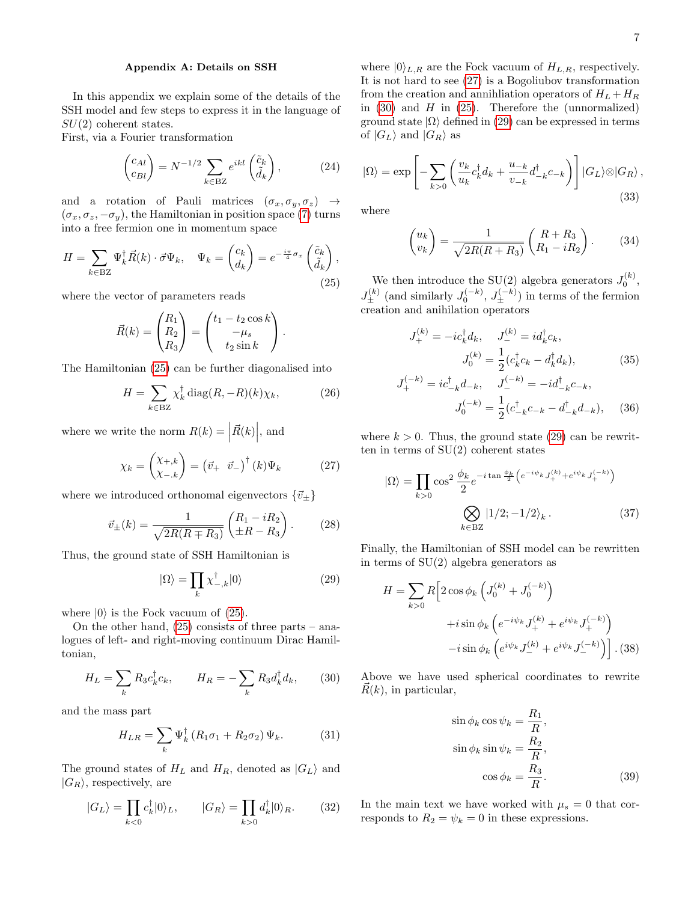## Appendix A: Details on SSH

In this appendix we explain some of the details of the SSH model and few steps to express it in the language of  $SU(2)$  coherent states.

First, via a Fourier transformation

$$
\begin{pmatrix} c_{Al} \\ c_{Bl} \end{pmatrix} = N^{-1/2} \sum_{k \in \text{BZ}} e^{ikl} \begin{pmatrix} \tilde{c}_k \\ \tilde{d}_k \end{pmatrix}, \tag{24}
$$

and a rotation of Pauli matrices  $(\sigma_x, \sigma_y, \sigma_z) \rightarrow$  $(\sigma_x, \sigma_z, -\sigma_y)$ , the Hamiltonian in position space [\(7\)](#page-1-4) turns into a free fermion one in momentum space

<span id="page-6-0"></span>
$$
H = \sum_{k \in \text{BZ}} \Psi_k^{\dagger} \vec{R}(k) \cdot \vec{\sigma} \Psi_k, \quad \Psi_k = \begin{pmatrix} c_k \\ d_k \end{pmatrix} = e^{-\frac{i\pi}{4}\sigma_x} \begin{pmatrix} \tilde{c}_k \\ \tilde{d}_k \end{pmatrix},\tag{25}
$$

where the vector of parameters reads

$$
\vec{R}(k) = \begin{pmatrix} R_1 \\ R_2 \\ R_3 \end{pmatrix} = \begin{pmatrix} t_1 - t_2 \cos k \\ -\mu_s \\ t_2 \sin k \end{pmatrix}.
$$

The Hamiltonian [\(25\)](#page-6-0) can be further diagonalised into

$$
H = \sum_{k \in \text{BZ}} \chi_k^{\dagger} \operatorname{diag}(R, -R)(k) \chi_k,\tag{26}
$$

where we write the norm  $R(k) = |\vec{R}(k)|$ , and

<span id="page-6-1"></span>
$$
\chi_k = \begin{pmatrix} \chi_{+,k} \\ \chi_{-,k} \end{pmatrix} = \begin{pmatrix} \vec{v}_+ & \vec{v}_- \end{pmatrix}^\dagger (k) \Psi_k \tag{27}
$$

where we introduced orthonomal eigenvectors  $\{\vec{v}_{\pm}\}\$ 

$$
\vec{v}_{\pm}(k) = \frac{1}{\sqrt{2R(R \mp R_3)}} \begin{pmatrix} R_1 - iR_2 \\ \pm R - R_3 \end{pmatrix} . \tag{28}
$$

Thus, the ground state of SSH Hamiltonian is

<span id="page-6-3"></span>
$$
|\Omega\rangle = \prod_{k} \chi_{-,k}^{\dagger} |0\rangle \tag{29}
$$

where  $|0\rangle$  is the Fock vacuum of [\(25\)](#page-6-0).

On the other hand,  $(25)$  consists of three parts – analogues of left- and right-moving continuum Dirac Hamiltonian,

<span id="page-6-2"></span>
$$
H_L = \sum_k R_3 c_k^{\dagger} c_k, \qquad H_R = -\sum_k R_3 d_k^{\dagger} d_k, \qquad (30)
$$

and the mass part

$$
H_{LR} = \sum_{k} \Psi_k^{\dagger} \left( R_1 \sigma_1 + R_2 \sigma_2 \right) \Psi_k. \tag{31}
$$

The ground states of  $H_L$  and  $H_R$ , denoted as  $|G_L\rangle$  and  $|G_R\rangle$ , respectively, are

$$
|G_L\rangle = \prod_{k<0} c_k^{\dagger} |0\rangle_L, \qquad |G_R\rangle = \prod_{k>0} d_k^{\dagger} |0\rangle_R. \tag{32}
$$

where  $|0\rangle_{L,R}$  are the Fock vacuum of  $H_{L,R}$ , respectively. It is not hard to see [\(27\)](#page-6-1) is a Bogoliubov transformation from the creation and annihilation operators of  $H_L + H_R$ in  $(30)$  and H in  $(25)$ . Therefore the (unnormalized) ground state  $|\Omega\rangle$  defined in [\(29\)](#page-6-3) can be expressed in terms of  $|G_L\rangle$  and  $|G_R\rangle$  as

$$
|\Omega\rangle = \exp\left[-\sum_{k>0} \left(\frac{v_k}{u_k} c_k^\dagger d_k + \frac{u_{-k}}{v_{-k}} d_{-k}^\dagger c_{-k}\right)\right] |G_L\rangle \otimes |G_R\rangle, \tag{33}
$$

where

$$
\binom{u_k}{v_k} = \frac{1}{\sqrt{2R(R+R_3)}} \binom{R+R_3}{R_1 - iR_2}.
$$
 (34)

We then introduce the SU(2) algebra generators  $J_0^{(k)}$ ,  $J_{\pm}^{(k)}$  (and similarly  $J_0^{(-k)}$ ,  $J_{\pm}^{(-k)}$ ) in terms of the fermion creation and anihilation operators

$$
J_{+}^{(k)} = -ic_{k}^{\dagger}d_{k}, \quad J_{-}^{(k)} = id_{k}^{\dagger}c_{k},
$$

$$
J_{0}^{(k)} = \frac{1}{2}(c_{k}^{\dagger}c_{k} - d_{k}^{\dagger}d_{k}), \tag{35}
$$

$$
J_{+}^{(-k)} = ic_{-k}^{\dagger} d_{-k}, \quad J_{-}^{(-k)} = -id_{-k}^{\dagger} c_{-k},
$$

$$
J_{0}^{(-k)} = \frac{1}{2} (c_{-k}^{\dagger} c_{-k} - d_{-k}^{\dagger} d_{-k}), \quad (36)
$$

where  $k > 0$ . Thus, the ground state [\(29\)](#page-6-3) can be rewritten in terms of SU(2) coherent states

$$
|\Omega\rangle = \prod_{k>0} \cos^2 \frac{\phi_k}{2} e^{-i \tan \frac{\phi_k}{2} \left(e^{-i \psi_k} J_+^{(k)} + e^{i \psi_k} J_+^{(-k)}\right)}
$$

$$
\bigotimes_{k \in \text{BZ}} |1/2; -1/2\rangle_k. \tag{37}
$$

Finally, the Hamiltonian of SSH model can be rewritten in terms of  $SU(2)$  algebra generators as

$$
H = \sum_{k>0} R \left[ 2 \cos \phi_k \left( J_0^{(k)} + J_0^{(-k)} \right) + i \sin \phi_k \left( e^{-i\psi_k} J_+^{(k)} + e^{i\psi_k} J_+^{(-k)} \right) - i \sin \phi_k \left( e^{i\psi_k} J_-^{(k)} + e^{i\psi_k} J_-^{(-k)} \right) \right].
$$
 (38)

Above we have used spherical coordinates to rewrite  $\vec{R}(k)$ , in particular,

$$
\sin \phi_k \cos \psi_k = \frac{R_1}{R},
$$
  
\n
$$
\sin \phi_k \sin \psi_k = \frac{R_2}{R},
$$
  
\n
$$
\cos \phi_k = \frac{R_3}{R}.
$$
\n(39)

In the main text we have worked with  $\mu_s = 0$  that corresponds to  $R_2 = \psi_k = 0$  in these expressions.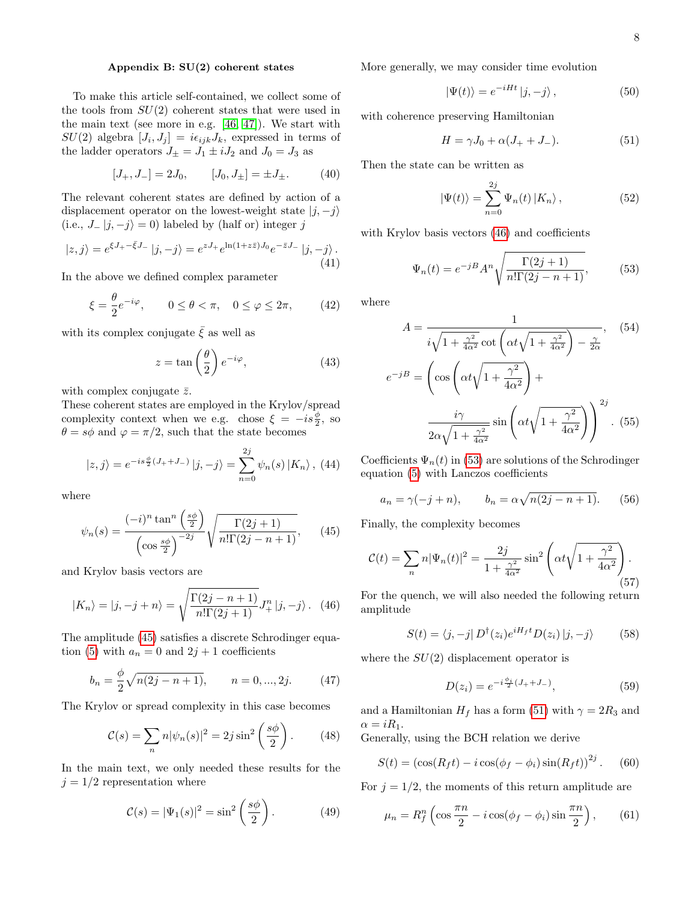## Appendix B: SU(2) coherent states

To make this article self-contained, we collect some of the tools from  $SU(2)$  coherent states that were used in the main text (see more in e.g. [\[46,](#page-5-27) [47\]](#page-5-28)). We start with  $SU(2)$  algebra  $[J_i, J_j] = i\epsilon_{ijk}J_k$ , expressed in terms of the ladder operators  $J_{\pm} = J_1 \pm i J_2$  and  $J_0 = J_3$  as

$$
[J_+, J_-] = 2J_0, \t [J_0, J_\pm] = \pm J_\pm. \t (40)
$$

The relevant coherent states are defined by action of a displacement operator on the lowest-weight state  $|j, -j\rangle$ (i.e.,  $J_{-} |j, -j \rangle = 0$ ) labeled by (half or) integer j

$$
|z,j\rangle = e^{\xi J_{+} - \bar{\xi}J_{-}} |j,-j\rangle = e^{zJ_{+}} e^{\ln(1+z\bar{z})J_{0}} e^{-\bar{z}J_{-}} |j,-j\rangle.
$$
\n(41)

In the above we defined complex parameter

$$
\xi = \frac{\theta}{2} e^{-i\varphi}, \qquad 0 \le \theta < \pi, \quad 0 \le \varphi \le 2\pi, \tag{42}
$$

with its complex conjugate  $\bar{\xi}$  as well as

$$
z = \tan\left(\frac{\theta}{2}\right)e^{-i\varphi},\tag{43}
$$

with complex conjugate  $\bar{z}$ .

θ

These coherent states are employed in the Krylov/spread complexity context when we e.g. chose  $\xi = -is\frac{\phi}{2}$ , so  $\theta = s\phi$  and  $\varphi = \pi/2$ , such that the state becomes

$$
|z, j\rangle = e^{-is\frac{\phi}{2}(J_{+}+J_{-})}|j, -j\rangle = \sum_{n=0}^{2j} \psi_{n}(s) |K_{n}\rangle, (44)
$$

where

<span id="page-7-0"></span>
$$
\psi_n(s) = \frac{(-i)^n \tan^n\left(\frac{s\phi}{2}\right)}{\left(\cos\frac{s\phi}{2}\right)^{-2j}} \sqrt{\frac{\Gamma(2j+1)}{n!\Gamma(2j-n+1)}},\qquad(45)
$$

and Krylov basis vectors are

<span id="page-7-1"></span>
$$
|K_n\rangle = |j, -j + n\rangle = \sqrt{\frac{\Gamma(2j - n + 1)}{n!\Gamma(2j + 1)}} J^n_+ |j, -j\rangle. \tag{46}
$$

The amplitude [\(45\)](#page-7-0) satisfies a discrete Schrodinger equa-tion [\(5\)](#page-1-3) with  $a_n = 0$  and  $2j + 1$  coefficients

$$
b_n = \frac{\phi}{2}\sqrt{n(2j - n + 1)}, \qquad n = 0, ..., 2j.
$$
 (47)

The Krylov or spread complexity in this case becomes

$$
\mathcal{C}(s) = \sum_{n} n |\psi_n(s)|^2 = 2j \sin^2 \left(\frac{s\phi}{2}\right). \tag{48}
$$

In the main text, we only needed these results for the  $j = 1/2$  representation where

$$
\mathcal{C}(s) = |\Psi_1(s)|^2 = \sin^2\left(\frac{s\phi}{2}\right). \tag{49}
$$

More generally, we may consider time evolution

$$
|\Psi(t)\rangle = e^{-iHt} |j, -j\rangle, \qquad (50)
$$

with coherence preserving Hamiltonian

<span id="page-7-3"></span>
$$
H = \gamma J_0 + \alpha (J_+ + J_-). \tag{51}
$$

Then the state can be written as

$$
|\Psi(t)\rangle = \sum_{n=0}^{2j} \Psi_n(t) |K_n\rangle, \qquad (52)
$$

with Krylov basis vectors  $(46)$  and coefficients

<span id="page-7-2"></span>
$$
\Psi_n(t) = e^{-jB} A^n \sqrt{\frac{\Gamma(2j+1)}{n!\Gamma(2j-n+1)}},\tag{53}
$$

where

$$
A = \frac{1}{i\sqrt{1 + \frac{\gamma^2}{4\alpha^2}} \cot\left(\alpha t \sqrt{1 + \frac{\gamma^2}{4\alpha^2}}\right) - \frac{\gamma}{2\alpha}}, \quad (54)
$$

$$
e^{-jB} = \left(\cos\left(\alpha t \sqrt{1 + \frac{\gamma^2}{4\alpha^2}}\right) + \frac{i\gamma}{2\alpha\sqrt{1 + \frac{\gamma^2}{4\alpha^2}} \sin\left(\alpha t \sqrt{1 + \frac{\gamma^2}{4\alpha^2}}\right)}\right)^{2j}.
$$
 (55)

Coefficients  $\Psi_n(t)$  in [\(53\)](#page-7-2) are solutions of the Schrodinger equation [\(5\)](#page-1-3) with Lanczos coefficients

$$
a_n = \gamma(-j+n),
$$
  $b_n = \alpha \sqrt{n(2j-n+1)}.$  (56)

Finally, the complexity becomes

$$
\mathcal{C}(t) = \sum_{n} n |\Psi_n(t)|^2 = \frac{2j}{1 + \frac{\gamma^2}{4\alpha^2}} \sin^2 \left( \alpha t \sqrt{1 + \frac{\gamma^2}{4\alpha^2}} \right). \tag{57}
$$

For the quench, we will also needed the following return amplitude

$$
S(t) = \langle j, -j | D^{\dagger}(z_i) e^{iH_f t} D(z_i) | j, -j \rangle \tag{58}
$$

where the  $SU(2)$  displacement operator is

$$
D(z_i) = e^{-i\frac{\phi_i}{2}(J_+ + J_-)},\tag{59}
$$

and a Hamiltonian  $H_f$  has a form [\(51\)](#page-7-3) with  $\gamma = 2R_3$  and  $\alpha = iR_1.$ 

Generally, using the BCH relation we derive

$$
S(t) = (\cos(R_f t) - i \cos(\phi_f - \phi_i) \sin(R_f t))^{2j}.
$$
 (60)

For  $j = 1/2$ , the moments of this return amplitude are

$$
\mu_n = R_f^n \left( \cos \frac{\pi n}{2} - i \cos(\phi_f - \phi_i) \sin \frac{\pi n}{2} \right), \qquad (61)
$$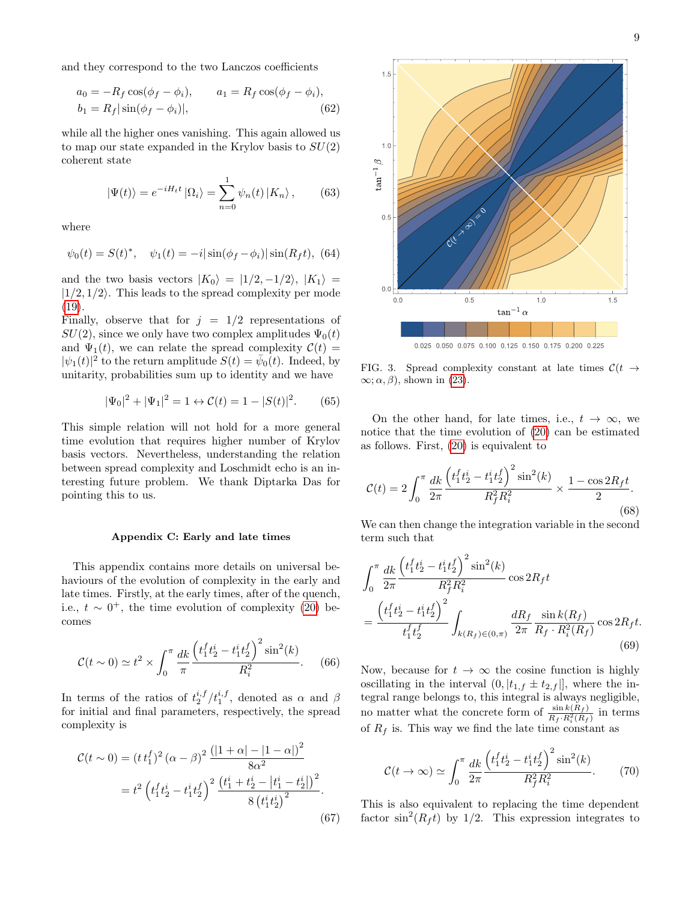and they correspond to the two Lanczos coefficients

$$
a_0 = -R_f \cos(\phi_f - \phi_i), \qquad a_1 = R_f \cos(\phi_f - \phi_i),
$$
  

$$
b_1 = R_f |\sin(\phi_f - \phi_i)|,
$$
 (62)

while all the higher ones vanishing. This again allowed us to map our state expanded in the Krylov basis to  $SU(2)$ coherent state

$$
|\Psi(t)\rangle = e^{-iH_t t} |\Omega_i\rangle = \sum_{n=0}^{1} \psi_n(t) |K_n\rangle, \qquad (63)
$$

where

$$
\psi_0(t) = S(t)^*, \quad \psi_1(t) = -i |\sin(\phi_f - \phi_i)| \sin(R_f t), \tag{64}
$$

and the two basis vectors  $|K_0\rangle = |1/2, -1/2\rangle, |K_1\rangle =$  $|1/2, 1/2\rangle$ . This leads to the spread complexity per mode [\(19\)](#page-3-4).

Finally, observe that for  $j = 1/2$  representations of  $SU(2)$ , since we only have two complex amplitudes  $\Psi_0(t)$ and  $\Psi_1(t)$ , we can relate the spread complexity  $C(t)$  =  $|\psi_1(t)|^2$  to the return amplitude  $S(t) = \bar{\psi}_0(t)$ . Indeed, by unitarity, probabilities sum up to identity and we have

$$
|\Psi_0|^2 + |\Psi_1|^2 = 1 \leftrightarrow \mathcal{C}(t) = 1 - |S(t)|^2. \tag{65}
$$

This simple relation will not hold for a more general time evolution that requires higher number of Krylov basis vectors. Nevertheless, understanding the relation between spread complexity and Loschmidt echo is an interesting future problem. We thank Diptarka Das for pointing this to us.

#### Appendix C: Early and late times

This appendix contains more details on universal behaviours of the evolution of complexity in the early and late times. Firstly, at the early times, after of the quench, i.e.,  $t \sim 0^+$ , the time evolution of complexity [\(20\)](#page-3-2) becomes

$$
\mathcal{C}(t \sim 0) \simeq t^2 \times \int_0^\pi \frac{dk}{\pi} \frac{\left(t_1^f t_2^i - t_1^i t_2^f\right)^2 \sin^2(k)}{R_i^2}.
$$
 (66)

In terms of the ratios of  $t_2^{i,f}/t_1^{i,f}$ , denoted as  $\alpha$  and  $\beta$ for initial and final parameters, respectively, the spread complexity is

$$
\mathcal{C}(t \sim 0) = (t t_1^f)^2 (\alpha - \beta)^2 \frac{(|1 + \alpha| - |1 - \alpha|)^2}{8\alpha^2}
$$

$$
= t^2 \left( t_1^f t_2^i - t_1^i t_2^f \right)^2 \frac{\left( t_1^i + t_2^i - |t_1^i - t_2^i| \right)^2}{8 \left( t_1^i t_2^i \right)^2}.
$$
(67)



<span id="page-8-0"></span>FIG. 3. Spread complexity constant at late times  $\mathcal{C}(t \rightarrow$  $\infty$ ;  $\alpha$ ,  $\beta$ ), shown in [\(23\)](#page-3-1).

On the other hand, for late times, i.e.,  $t \to \infty$ , we notice that the time evolution of [\(20\)](#page-3-2) can be estimated as follows. First, [\(20\)](#page-3-2) is equivalent to

$$
\mathcal{C}(t) = 2 \int_0^{\pi} \frac{dk}{2\pi} \frac{\left(t_1^f t_2^i - t_1^i t_2^f\right)^2 \sin^2(k)}{R_f^2 R_i^2} \times \frac{1 - \cos 2R_f t}{2}.
$$
\n(68)

We can then change the integration variable in the second term such that

$$
\int_0^\pi \frac{dk}{2\pi} \frac{\left(t_1^f t_2^i - t_1^i t_2^f\right)^2 \sin^2(k)}{R_f^2 R_i^2} \cos 2R_f t
$$
\n
$$
= \frac{\left(t_1^f t_2^i - t_1^i t_2^f\right)^2}{t_1^f t_2^f} \int_{k(R_f) \in (0,\pi)} \frac{dR_f}{2\pi} \frac{\sin k(R_f)}{R_f \cdot R_i^2(R_f)} \cos 2R_f t.
$$
\n(69)

Now, because for  $t \to \infty$  the cosine function is highly oscillating in the interval  $(0, |t_{1,f} \pm t_{2,f}|)$ , where the integral range belongs to, this integral is always negligible, no matter what the concrete form of  $\frac{\sin k(R_f)}{R_f \cdot R_i^2(R_f)}$  in terms of  $R_f$  is. This way we find the late time constant as

$$
\mathcal{C}(t \to \infty) \simeq \int_0^{\pi} \frac{dk}{2\pi} \frac{\left(t_1^f t_2^i - t_1^i t_2^f\right)^2 \sin^2(k)}{R_f^2 R_i^2}.
$$
 (70)

This is also equivalent to replacing the time dependent factor  $\sin^2(R_f t)$  by 1/2. This expression integrates to